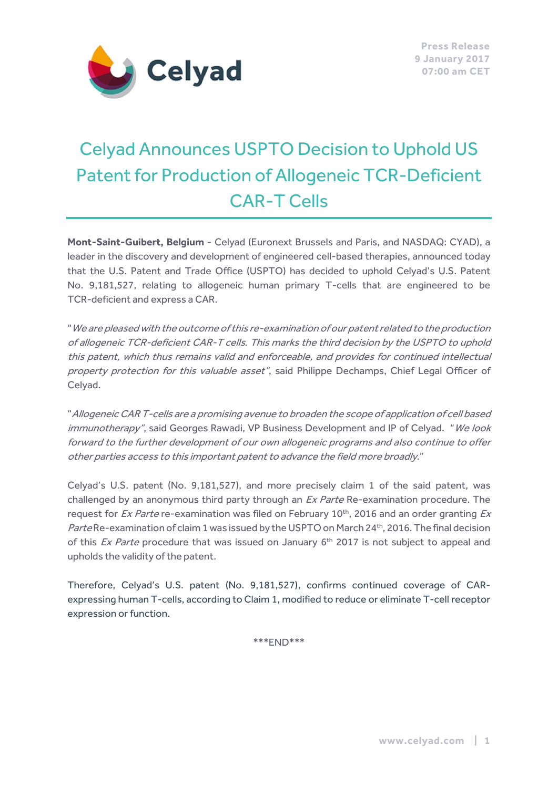

# Celyad Announces USPTO Decision to Uphold US Patent for Production of Allogeneic TCR-Deficient CAR-T Cells

**Mont-Saint-Guibert, Belgium** - Celyad (Euronext Brussels and Paris, and NASDAQ: CYAD), a leader in the discovery and development of engineered cell-based therapies, announced today that the U.S. Patent and Trade Office (USPTO) has decided to uphold Celyad's U.S. Patent No. 9,181,527, relating to allogeneic human primary T-cells that are engineered to be TCR-deficient and express a CAR.

"We are pleased with the outcome of this re-examination of our patent related to the production of allogeneic TCR-deficient CAR-T cells. This marks the third decision by the USPTO to uphold this patent, which thus remains valid and enforceable, and provides for continued intellectual property protection for this valuable asset", said Philippe Dechamps, Chief Legal Officer of Celyad.

"Allogeneic CAR T-cells are a promising avenue to broaden the scope of application of cell based immunotherapy", said Georges Rawadi, VP Business Development and IP of Celyad. "We look forward to the further development of our own allogeneic programs and also continue to offer other parties access to this important patent to advance the field more broadly."

Celyad's U.S. patent (No. 9,181,527), and more precisely claim 1 of the said patent, was challenged by an anonymous third party through an *Ex Parte* Re-examination procedure. The request for  $Ex$  Parte re-examination was filed on February 10<sup>th</sup>, 2016 and an order granting  $Ex$ Parte Re-examination of claim 1 was issued by the USPTO on March 24<sup>th</sup>, 2016. The final decision of this  $Ex$  Parte procedure that was issued on January  $6<sup>th</sup>$  2017 is not subject to appeal and upholds the validity of the patent.

Therefore, Celyad's U.S. patent (No. 9,181,527), confirms continued coverage of CARexpressing human T-cells, according to Claim 1, modified to reduce or eliminate T-cell receptor expression or function.

\*\*\*END\*\*\*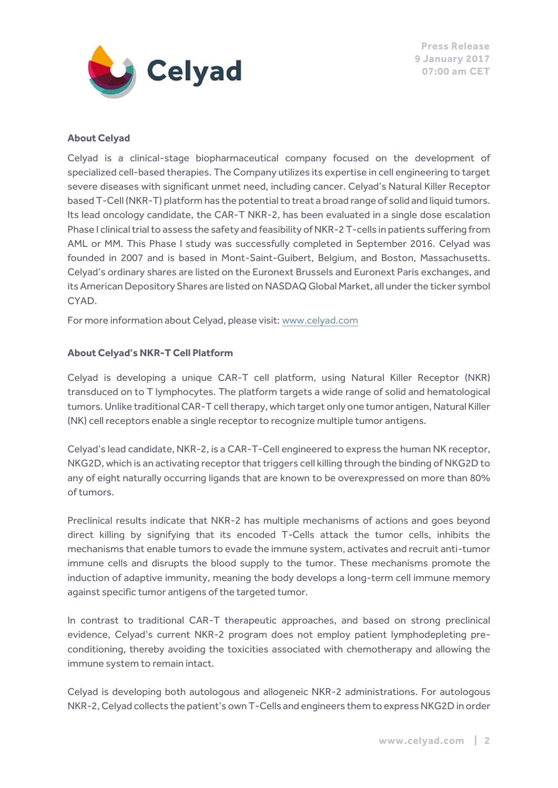

#### **About Celyad**

Celyad is a clinical-stage biopharmaceutical company focused on the development of specialized cell-based therapies. The Company utilizes its expertise in cell engineering to target severe diseases with significant unmet need, including cancer. Celyad's Natural Killer Receptor based T-Cell (NKR-T) platform has the potential to treat a broad range of solid and liquid tumors. Its lead oncology candidate, the CAR-T NKR-2, has been evaluated in a single dose escalation Phase I clinical trial to assess the safety and feasibility of NKR-2 T-cells in patients suffering from AML or MM. This Phase I study was successfully completed in September 2016. Celyad was founded in 2007 and is based in Mont-Saint-Guibert, Belgium, and Boston, Massachusetts. Celyad's ordinary shares are listed on the Euronext Brussels and Euronext Paris exchanges, and its American Depository Shares are listed on NASDAQ Global Market, all under the ticker symbol CYAD.

For more information about Celyad, please visit: [www.celyad.com](http://www.celyad.com/) 

#### **About Celyad's NKR-T Cell Platform**

Celyad is developing a unique CAR-T cell platform, using Natural Killer Receptor (NKR) transduced on to T lymphocytes. The platform targets a wide range of solid and hematological tumors. Unlike traditional CAR-T cell therapy, which target only one tumor antigen, Natural Killer (NK) cell receptors enable a single receptor to recognize multiple tumor antigens.

Celyad's lead candidate, NKR-2, is a CAR-T-Cell engineered to express the human NK receptor, NKG2D, which is an activating receptor that triggers cell killing through the binding of NKG2D to any of eight naturally occurring ligands that are known to be overexpressed on more than 80% of tumors.

Preclinical results indicate that NKR-2 has multiple mechanisms of actions and goes beyond direct killing by signifying that its encoded T-Cells attack the tumor cells, inhibits the mechanisms that enable tumors to evade the immune system, activates and recruit anti-tumor immune cells and disrupts the blood supply to the tumor. These mechanisms promote the induction of adaptive immunity, meaning the body develops a long-term cell immune memory against specific tumor antigens of the targeted tumor.

In contrast to traditional CAR-T therapeutic approaches, and based on strong preclinical evidence, Celyad's current NKR-2 program does not employ patient lymphodepleting preconditioning, thereby avoiding the toxicities associated with chemotherapy and allowing the immune system to remain intact.

Celyad is developing both autologous and allogeneic NKR-2 administrations. For autologous NKR-2, Celyad collects the patient's own T-Cells and engineers them to express NKG2D in order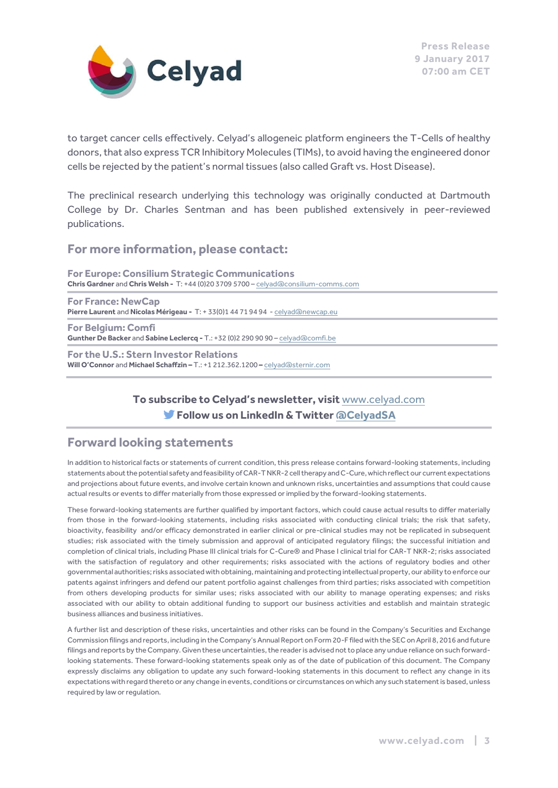

to target cancer cells effectively. Celyad's allogeneic platform engineers the T-Cells of healthy donors, that also express TCR Inhibitory Molecules (TIMs), to avoid having the engineered donor cells be rejected by the patient's normal tissues (also called Graft vs. Host Disease).

The preclinical research underlying this technology was originally conducted at Dartmouth College by Dr. Charles Sentman and has been published extensively in peer-reviewed publications.

## **For more information, please contact:**

**For Europe: Consilium Strategic Communications Chris Gardner** and **Chris Welsh -** T: +44 (0)20 3709 5700 – [celyad@consilium-comms.com](mailto:celyad@consilium-comms.com)

**For France: NewCap Pierre Laurent** and **Nicolas Mérigeau -** T: + 33(0)1 44 71 94 94 - [celyad@newcap.eu](mailto:celyad@newcap.eu)

**For Belgium: Comfi Gunther De Backer** and **Sabine Leclercq -** T.: +32 (0)2 290 90 90 – [celyad@comfi.be](mailto:celyad@comfi.be)

**For the U.S.: Stern Investor Relations Will O'Connor** and **Michael Schaffzin –** T.: +1 212.362.1200 **–** [celyad@sternir.com](mailto:celyad@sternir.com)

## **To subscribe to Celyad's newsletter, visit** [www.celyad.com](http://www.celyad.com/) **Follow us on LinkedIn & Twitte[r @CelyadSA](https://twitter.com/CelyadSA)**

## **Forward looking statements**

In addition to historical facts or statements of current condition, this press release contains forward-looking statements, including statements about the potential safety and feasibility of CAR-T NKR-2 cell therapy and C-Cure, which reflect our current expectations and projections about future events, and involve certain known and unknown risks, uncertainties and assumptions that could cause actual results or events to differ materially from those expressed or implied by the forward-looking statements.

These forward-looking statements are further qualified by important factors, which could cause actual results to differ materially from those in the forward-looking statements, including risks associated with conducting clinical trials; the risk that safety, bioactivity, feasibility and/or efficacy demonstrated in earlier clinical or pre-clinical studies may not be replicated in subsequent studies; risk associated with the timely submission and approval of anticipated regulatory filings; the successful initiation and completion of clinical trials, including Phase III clinical trials for C-Cure® and Phase I clinical trial for CAR-T NKR-2; risks associated with the satisfaction of regulatory and other requirements; risks associated with the actions of regulatory bodies and other governmental authorities; risks associated with obtaining, maintaining and protecting intellectual property, our ability to enforce our patents against infringers and defend our patent portfolio against challenges from third parties; risks associated with competition from others developing products for similar uses; risks associated with our ability to manage operating expenses; and risks associated with our ability to obtain additional funding to support our business activities and establish and maintain strategic business alliances and business initiatives.

A further list and description of these risks, uncertainties and other risks can be found in the Company's Securities and Exchange Commission filings and reports, including in the Company's Annual Report on Form 20-F filed with the SEC on April 8, 2016 and future filings and reports by the Company. Given these uncertainties, the reader is advised not to place any undue reliance on such forwardlooking statements. These forward-looking statements speak only as of the date of publication of this document. The Company expressly disclaims any obligation to update any such forward-looking statements in this document to reflect any change in its expectations with regard thereto or any change in events, conditions or circumstances on which any such statement is based, unless required by law or regulation.